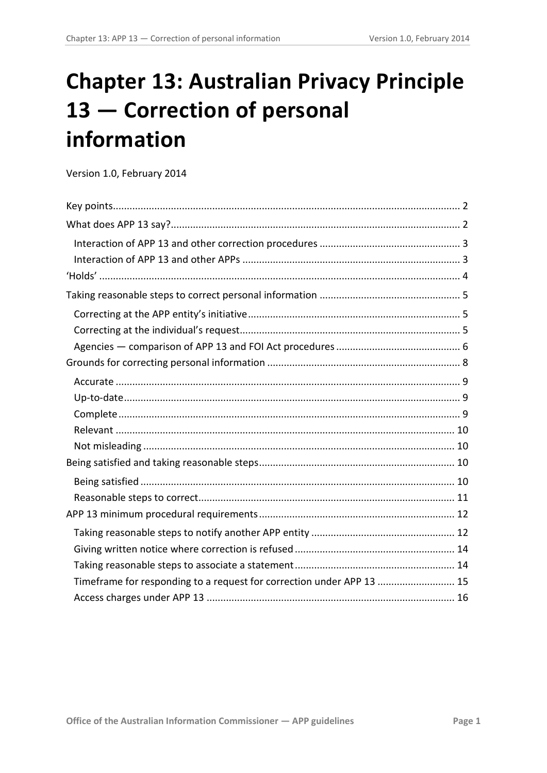# **Chapter 13: Australian Privacy Principle 13 — Correction of personal information**

Version 1.0, February 2014

<span id="page-0-0"></span>

| Timeframe for responding to a request for correction under APP 13  15 |  |
|-----------------------------------------------------------------------|--|
|                                                                       |  |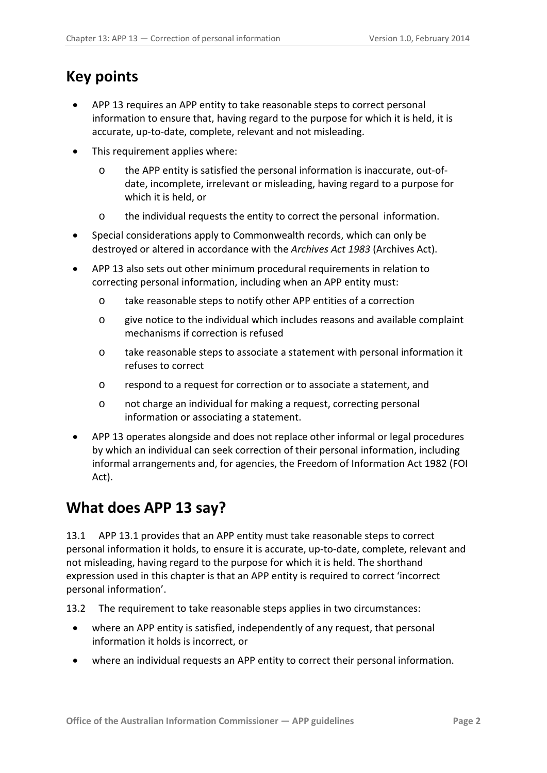# <span id="page-1-0"></span>**Key points**

- APP 13 requires an APP entity to take reasonable steps to correct personal information to ensure that, having regard to the purpose for which it is held, it is accurate, up-to-date, complete, relevant and not misleading.
- This requirement applies where:
	- o the APP entity is satisfied the personal information is inaccurate, out-ofdate, incomplete, irrelevant or misleading, having regard to a purpose for which it is held, or
	- o the individual requests the entity to correct the personal information.
- Special considerations apply to Commonwealth records, which can only be destroyed or altered in accordance with the *Archives Act 1983* (Archives Act).
- APP 13 also sets out other minimum procedural requirements in relation to correcting personal information, including when an APP entity must:
	- o take reasonable steps to notify other APP entities of a correction
	- o give notice to the individual which includes reasons and available complaint mechanisms if correction is refused
	- o take reasonable steps to associate a statement with personal information it refuses to correct
	- o respond to a request for correction or to associate a statement, and
	- o not charge an individual for making a request, correcting personal information or associating a statement.
- APP 13 operates alongside and does not replace other informal or legal procedures by which an individual can seek correction of their personal information, including informal arrangements and, for agencies, the Freedom of Information Act 1982 (FOI Act).

# <span id="page-1-1"></span>**What does APP 13 say?**

13.1 APP 13.1 provides that an APP entity must take reasonable steps to correct personal information it holds, to ensure it is accurate, up-to-date, complete, relevant and not misleading, having regard to the purpose for which it is held. The shorthand expression used in this chapter is that an APP entity is required to correct 'incorrect personal information'.

13.2 The requirement to take reasonable steps applies in two circumstances:

- where an APP entity is satisfied, independently of any request, that personal information it holds is incorrect, or
- where an individual requests an APP entity to correct their personal information.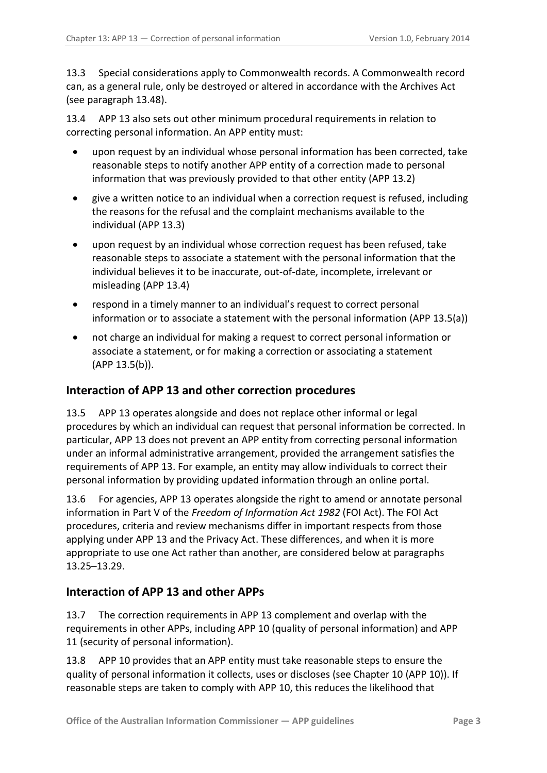13.3 Special considerations apply to Commonwealth records. A Commonwealth record can, as a general rule, only be destroyed or altered in accordance with the Archives Act (see paragraph [13.48\)](#page-11-2).

13.4 APP 13 also sets out other minimum procedural requirements in relation to correcting personal information. An APP entity must:

- upon request by an individual whose personal information has been corrected, take reasonable steps to notify another APP entity of a correction made to personal information that was previously provided to that other entity (APP 13.2)
- give a written notice to an individual when a correction request is refused, including the reasons for the refusal and the complaint mechanisms available to the individual (APP 13.3)
- upon request by an individual whose correction request has been refused, take reasonable steps to associate a statement with the personal information that the individual believes it to be inaccurate, out-of-date, incomplete, irrelevant or misleading (APP 13.4)
- respond in a timely manner to an individual's request to correct personal information or to associate a statement with the personal information (APP 13.5(a))
- not charge an individual for making a request to correct personal information or associate a statement, or for making a correction or associating a statement (APP 13.5(b)).

# <span id="page-2-0"></span>**Interaction of APP 13 and other correction procedures**

13.5 APP 13 operates alongside and does not replace other informal or legal procedures by which an individual can request that personal information be corrected. In particular, APP 13 does not prevent an APP entity from correcting personal information under an informal administrative arrangement, provided the arrangement satisfies the requirements of APP 13. For example, an entity may allow individuals to correct their personal information by providing updated information through an online portal.

13.6 For agencies, APP 13 operates alongside the right to amend or annotate personal information in Part V of the *Freedom of Information Act 1982* (FOI Act). The FOI Act procedures, criteria and review mechanisms differ in important respects from those applying under APP 13 and the Privacy Act. These differences, and when it is more appropriate to use one Act rather than another, are considered below at paragraphs [13.25–](#page-5-1)[13.29.](#page-7-1)

# <span id="page-2-1"></span>**Interaction of APP 13 and other APPs**

13.7 The correction requirements in APP 13 complement and overlap with the requirements in other APPs, including APP 10 (quality of personal information) and APP 11 (security of personal information).

13.8 APP 10 provides that an APP entity must take reasonable steps to ensure the quality of personal information it collects, uses or discloses (see Chapter 10 (APP 10)). If reasonable steps are taken to comply with APP 10, this reduces the likelihood that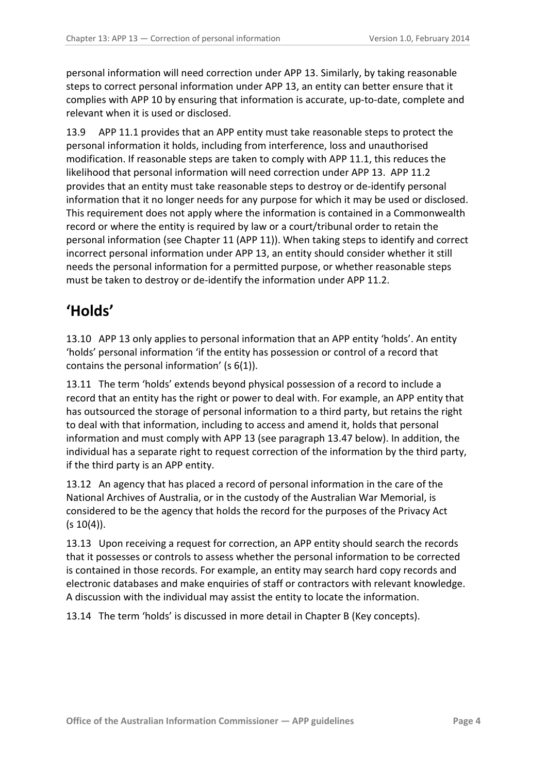personal information will need correction under APP 13. Similarly, by taking reasonable steps to correct personal information under APP 13, an entity can better ensure that it complies with APP 10 by ensuring that information is accurate, up-to-date, complete and relevant when it is used or disclosed.

13.9 APP 11.1 provides that an APP entity must take reasonable steps to protect the personal information it holds, including from interference, loss and unauthorised modification. If reasonable steps are taken to comply with APP 11.1, this reduces the likelihood that personal information will need correction under APP 13. APP 11.2 provides that an entity must take reasonable steps to destroy or de-identify personal information that it no longer needs for any purpose for which it may be used or disclosed. This requirement does not apply where the information is contained in a Commonwealth record or where the entity is required by law or a court/tribunal order to retain the personal information (see Chapter 11 (APP 11)). When taking steps to identify and correct incorrect personal information under APP 13, an entity should consider whether it still needs the personal information for a permitted purpose, or whether reasonable steps must be taken to destroy or de-identify the information under APP 11.2.

# <span id="page-3-0"></span>**'Holds'**

13.10 APP 13 only applies to personal information that an APP entity 'holds'. An entity 'holds' personal information 'if the entity has possession or control of a record that contains the personal information' (s 6(1)).

<span id="page-3-1"></span>13.11 The term 'holds' extends beyond physical possession of a record to include a record that an entity has the right or power to deal with. For example, an APP entity that has outsourced the storage of personal information to a third party, but retains the right to deal with that information, including to access and amend it, holds that personal information and must comply with APP 13 (see paragraph [13.47](#page-10-1) below). In addition, the individual has a separate right to request correction of the information by the third party, if the third party is an APP entity.

13.12 An agency that has placed a record of personal information in the care of the National Archives of Australia, or in the custody of the Australian War Memorial, is considered to be the agency that holds the record for the purposes of the Privacy Act  $(s 10(4))$ .

13.13 Upon receiving a request for correction, an APP entity should search the records that it possesses or controls to assess whether the personal information to be corrected is contained in those records. For example, an entity may search hard copy records and electronic databases and make enquiries of staff or contractors with relevant knowledge. A discussion with the individual may assist the entity to locate the information.

13.14 The term 'holds' is discussed in more detail in Chapter B (Key concepts).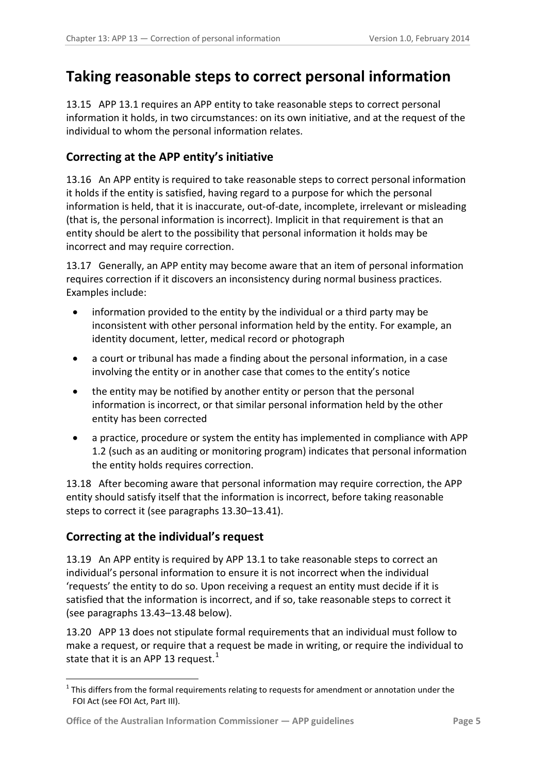# <span id="page-4-0"></span>**Taking reasonable steps to correct personal information**

13.15 APP 13.1 requires an APP entity to take reasonable steps to correct personal information it holds, in two circumstances: on its own initiative, and at the request of the individual to whom the personal information relates.

# <span id="page-4-1"></span>**Correcting at the APP entity's initiative**

<span id="page-4-4"></span>13.16 An APP entity is required to take reasonable steps to correct personal information it holds if the entity is satisfied, having regard to a purpose for which the personal information is held, that it is inaccurate, out-of-date, incomplete, irrelevant or misleading (that is, the personal information is incorrect). Implicit in that requirement is that an entity should be alert to the possibility that personal information it holds may be incorrect and may require correction.

13.17 Generally, an APP entity may become aware that an item of personal information requires correction if it discovers an inconsistency during normal business practices. Examples include:

- information provided to the entity by the individual or a third party may be inconsistent with other personal information held by the entity. For example, an identity document, letter, medical record or photograph
- a court or tribunal has made a finding about the personal information, in a case involving the entity or in another case that comes to the entity's notice
- the entity may be notified by another entity or person that the personal information is incorrect, or that similar personal information held by the other entity has been corrected
- a practice, procedure or system the entity has implemented in compliance with APP 1.2 (such as an auditing or monitoring program) indicates that personal information the entity holds requires correction.

<span id="page-4-5"></span>13.18 After becoming aware that personal information may require correction, the APP entity should satisfy itself that the information is incorrect, before taking reasonable steps to correct it (see paragraphs [13.30](#page-7-2)[–13.41\)](#page-9-4).

# <span id="page-4-2"></span>**Correcting at the individual's request**

<span id="page-4-3"></span>1

13.19 An APP entity is required by APP 13.1 to take reasonable steps to correct an individual's personal information to ensure it is not incorrect when the individual 'requests' the entity to do so. Upon receiving a request an entity must decide if it is satisfied that the information is incorrect, and if so, take reasonable steps to correct it (see paragraph[s 13.43–](#page-9-5)[13.48](#page-11-2) below).

13.20 APP 13 does not stipulate formal requirements that an individual must follow to make a request, or require that a request be made in writing, or require the individual to state that it is an APP [1](#page-0-0)3 request.<sup>1</sup>

 $1$  This differs from the formal requirements relating to requests for amendment or annotation under the FOI Act (see FOI Act, Part III).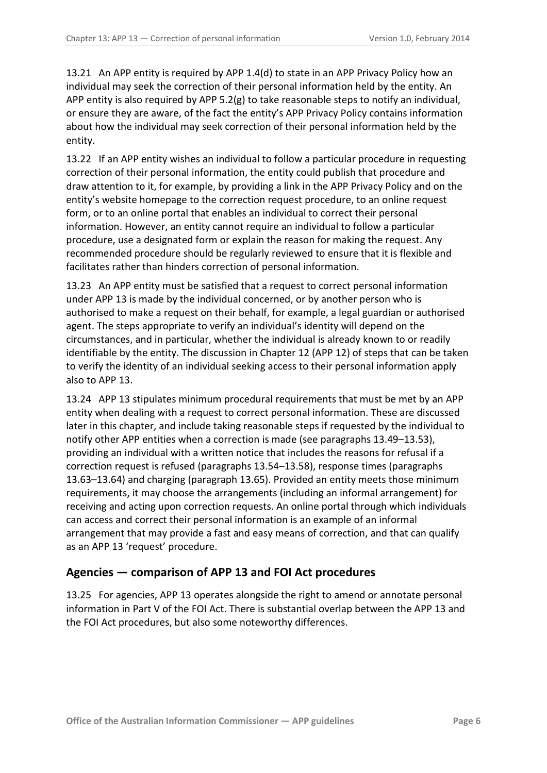<span id="page-5-3"></span>13.21 An APP entity is required by APP 1.4(d) to state in an APP Privacy Policy how an individual may seek the correction of their personal information held by the entity. An APP entity is also required by APP  $5.2(g)$  to take reasonable steps to notify an individual, or ensure they are aware, of the fact the entity's APP Privacy Policy contains information about how the individual may seek correction of their personal information held by the entity.

13.22 If an APP entity wishes an individual to follow a particular procedure in requesting correction of their personal information, the entity could publish that procedure and draw attention to it, for example, by providing a link in the APP Privacy Policy and on the entity's website homepage to the correction request procedure, to an online request form, or to an online portal that enables an individual to correct their personal information. However, an entity cannot require an individual to follow a particular procedure, use a designated form or explain the reason for making the request. Any recommended procedure should be regularly reviewed to ensure that it is flexible and facilitates rather than hinders correction of personal information.

13.23 An APP entity must be satisfied that a request to correct personal information under APP 13 is made by the individual concerned, or by another person who is authorised to make a request on their behalf, for example, a legal guardian or authorised agent. The steps appropriate to verify an individual's identity will depend on the circumstances, and in particular, whether the individual is already known to or readily identifiable by the entity. The discussion in Chapter 12 (APP 12) of steps that can be taken to verify the identity of an individual seeking access to their personal information apply also to APP 13.

<span id="page-5-2"></span>13.24 APP 13 stipulates minimum procedural requirements that must be met by an APP entity when dealing with a request to correct personal information. These are discussed later in this chapter, and include taking reasonable steps if requested by the individual to notify other APP entities when a correction is made (see paragraphs [13.49](#page-11-3)[–13.53\)](#page-12-0), providing an individual with a written notice that includes the reasons for refusal if a correction request is refused (paragraphs [13.54](#page-13-2)[–13.58\)](#page-13-3), response times (paragraphs [13.63–](#page-14-1)[13.64\)](#page-14-2) and charging (paragraph [13.65\)](#page-15-1). Provided an entity meets those minimum requirements, it may choose the arrangements (including an informal arrangement) for receiving and acting upon correction requests. An online portal through which individuals can access and correct their personal information is an example of an informal arrangement that may provide a fast and easy means of correction, and that can qualify as an APP 13 'request' procedure.

# <span id="page-5-0"></span>**Agencies — comparison of APP 13 and FOI Act procedures**

<span id="page-5-1"></span>13.25 For agencies, APP 13 operates alongside the right to amend or annotate personal information in Part V of the FOI Act. There is substantial overlap between the APP 13 and the FOI Act procedures, but also some noteworthy differences.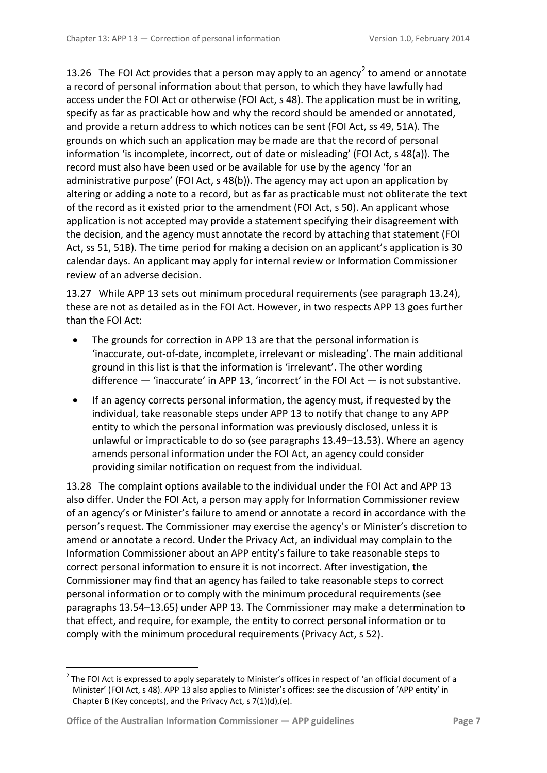<span id="page-6-0"></span>13.[2](#page-4-3)6 The FOI Act provides that a person may apply to an agency<sup>2</sup> to amend or annotate a record of personal information about that person, to which they have lawfully had access under the FOI Act or otherwise (FOI Act, s 48). The application must be in writing, specify as far as practicable how and why the record should be amended or annotated, and provide a return address to which notices can be sent (FOI Act, ss 49, 51A). The grounds on which such an application may be made are that the record of personal information 'is incomplete, incorrect, out of date or misleading' (FOI Act, s 48(a)). The record must also have been used or be available for use by the agency 'for an administrative purpose' (FOI Act, s 48(b)). The agency may act upon an application by altering or adding a note to a record, but as far as practicable must not obliterate the text of the record as it existed prior to the amendment (FOI Act, s 50). An applicant whose application is not accepted may provide a statement specifying their disagreement with the decision, and the agency must annotate the record by attaching that statement (FOI Act, ss 51, 51B). The time period for making a decision on an applicant's application is 30 calendar days. An applicant may apply for internal review or Information Commissioner review of an adverse decision.

13.27 While APP 13 sets out minimum procedural requirements (see paragraph [13.24\)](#page-5-2), these are not as detailed as in the FOI Act. However, in two respects APP 13 goes further than the FOI Act:

- The grounds for correction in APP 13 are that the personal information is 'inaccurate, out-of-date, incomplete, irrelevant or misleading'. The main additional ground in this list is that the information is 'irrelevant'. The other wording difference  $-$  'inaccurate' in APP 13, 'incorrect' in the FOI Act  $-$  is not substantive.
- If an agency corrects personal information, the agency must, if requested by the individual, take reasonable steps under APP 13 to notify that change to any APP entity to which the personal information was previously disclosed, unless it is unlawful or impracticable to do so (see paragraphs [13.49](#page-11-3)[–13.53\)](#page-12-0). Where an agency amends personal information under the FOI Act, an agency could consider providing similar notification on request from the individual.

13.28 The complaint options available to the individual under the FOI Act and APP 13 also differ. Under the FOI Act, a person may apply for Information Commissioner review of an agency's or Minister's failure to amend or annotate a record in accordance with the person's request. The Commissioner may exercise the agency's or Minister's discretion to amend or annotate a record. Under the Privacy Act, an individual may complain to the Information Commissioner about an APP entity's failure to take reasonable steps to correct personal information to ensure it is not incorrect. After investigation, the Commissioner may find that an agency has failed to take reasonable steps to correct personal information or to comply with the minimum procedural requirements (see paragraphs [13.54](#page-13-2)[–13.65\)](#page-15-1) under APP 13. The Commissioner may make a determination to that effect, and require, for example, the entity to correct personal information or to comply with the minimum procedural requirements (Privacy Act, s 52).

<span id="page-6-1"></span><sup>2</sup> The FOI Act is expressed to apply separately to Minister's offices in respect of 'an official document of a Minister' (FOI Act, s 48). APP 13 also applies to Minister's offices: see the discussion of 'APP entity' in Chapter B (Key concepts), and the Privacy Act, s 7(1)(d),(e).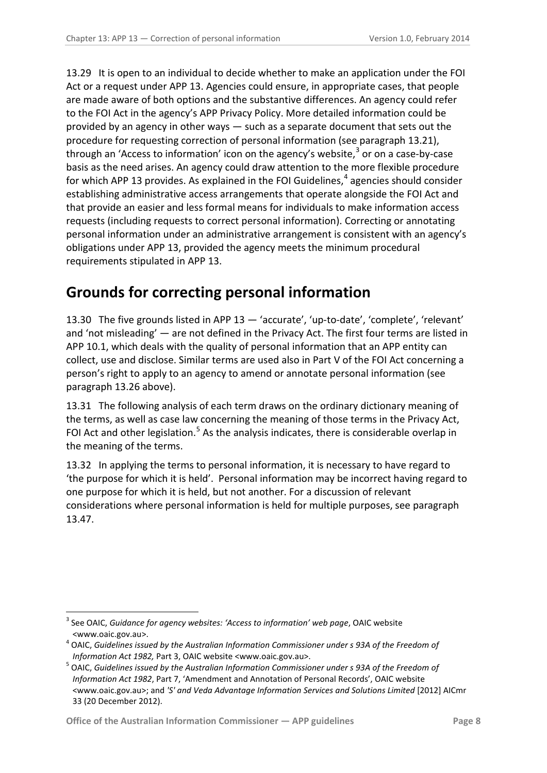<span id="page-7-1"></span>13.29 It is open to an individual to decide whether to make an application under the FOI Act or a request under APP 13. Agencies could ensure, in appropriate cases, that people are made aware of both options and the substantive differences. An agency could refer to the FOI Act in the agency's APP Privacy Policy. More detailed information could be provided by an agency in other ways — such as a separate document that sets out the procedure for requesting correction of personal information (see paragraph [13.21\)](#page-5-3), through an 'Access to information' icon on the agency's website, $3$  or on a case-by-case basis as the need arises. An agency could draw attention to the more flexible procedure for which APP 13 provides. As explained in the FOI Guidelines, $<sup>4</sup>$  $<sup>4</sup>$  $<sup>4</sup>$  agencies should consider</sup> establishing administrative access arrangements that operate alongside the FOI Act and that provide an easier and less formal means for individuals to make information access requests (including requests to correct personal information). Correcting or annotating personal information under an administrative arrangement is consistent with an agency's obligations under APP 13, provided the agency meets the minimum procedural requirements stipulated in APP 13.

# <span id="page-7-0"></span>**Grounds for correcting personal information**

<span id="page-7-2"></span>13.30 The five grounds listed in APP 13 — 'accurate', 'up-to-date', 'complete', 'relevant' and 'not misleading' — are not defined in the Privacy Act. The first four terms are listed in APP 10.1, which deals with the quality of personal information that an APP entity can collect, use and disclose. Similar terms are used also in Part V of the FOI Act concerning a person's right to apply to an agency to amend or annotate personal information (see paragraph [13.26](#page-6-0) above).

13.31 The following analysis of each term draws on the ordinary dictionary meaning of the terms, as well as case law concerning the meaning of those terms in the Privacy Act, FOI Act and other legislation.<sup>[5](#page-7-4)</sup> As the analysis indicates, there is considerable overlap in the meaning of the terms.

<span id="page-7-6"></span>13.32 In applying the terms to personal information, it is necessary to have regard to 'the purpose for which it is held'. Personal information may be incorrect having regard to one purpose for which it is held, but not another. For a discussion of relevant considerations where personal information is held for multiple purposes, see paragraph [13.47.](#page-10-1)

<sup>&</sup>lt;sup>3</sup> See OAIC, *Guidance for agency websites: 'Access to information' web page*, OAIC website

<sup>&</sup>lt;www.oaic.gov.au>. <sup>4</sup> OAIC, *Guidelines issued by the Australian Information Commissioner under s 93A of the Freedom of* 

<span id="page-7-5"></span><span id="page-7-4"></span><span id="page-7-3"></span>*Information Act 1982,* Part 3, OAIC website <www.oaic.gov.au>. <sup>5</sup> OAIC, *Guidelines issued by the Australian Information Commissioner under s 93A of the Freedom of Information Act 1982*, Part 7, 'Amendment and Annotation of Personal Records', OAIC website <www.oaic.gov.au>; and *'S' and Veda Advantage Information Services and Solutions Limited* [2012] AICmr 33 (20 December 2012).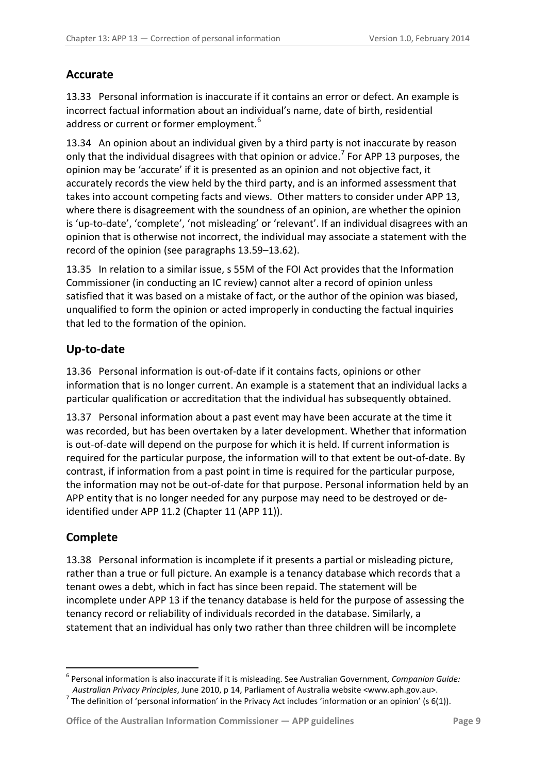# <span id="page-8-0"></span>**Accurate**

13.33 Personal information is inaccurate if it contains an error or defect. An example is incorrect factual information about an individual's name, date of birth, residential address or current or former employment.<sup>[6](#page-7-5)</sup>

13.34 An opinion about an individual given by a third party is not inaccurate by reason only that the individual disagrees with that opinion or advice.<sup>[7](#page-8-3)</sup> For APP 13 purposes, the opinion may be 'accurate' if it is presented as an opinion and not objective fact, it accurately records the view held by the third party, and is an informed assessment that takes into account competing facts and views. Other matters to consider under APP 13, where there is disagreement with the soundness of an opinion, are whether the opinion is 'up-to-date', 'complete', 'not misleading' or 'relevant'. If an individual disagrees with an opinion that is otherwise not incorrect, the individual may associate a statement with the record of the opinion (see paragraphs [13.59](#page-13-4)[–13.62\)](#page-14-3).

13.35 In relation to a similar issue, s 55M of the FOI Act provides that the Information Commissioner (in conducting an IC review) cannot alter a record of opinion unless satisfied that it was based on a mistake of fact, or the author of the opinion was biased, unqualified to form the opinion or acted improperly in conducting the factual inquiries that led to the formation of the opinion.

# <span id="page-8-1"></span>**Up-to-date**

13.36 Personal information is out-of-date if it contains facts, opinions or other information that is no longer current. An example is a statement that an individual lacks a particular qualification or accreditation that the individual has subsequently obtained.

13.37 Personal information about a past event may have been accurate at the time it was recorded, but has been overtaken by a later development. Whether that information is out-of-date will depend on the purpose for which it is held. If current information is required for the particular purpose, the information will to that extent be out-of-date. By contrast, if information from a past point in time is required for the particular purpose, the information may not be out-of-date for that purpose. Personal information held by an APP entity that is no longer needed for any purpose may need to be destroyed or deidentified under APP 11.2 (Chapter 11 (APP 11)).

# <span id="page-8-2"></span>**Complete**

13.38 Personal information is incomplete if it presents a partial or misleading picture, rather than a true or full picture. An example is a tenancy database which records that a tenant owes a debt, which in fact has since been repaid. The statement will be incomplete under APP 13 if the tenancy database is held for the purpose of assessing the tenancy record or reliability of individuals recorded in the database. Similarly, a statement that an individual has only two rather than three children will be incomplete

<sup>&</sup>lt;u>.</u> <sup>6</sup> Personal information is also inaccurate if it is misleading. See Australian Government, *Companion Guide:* 

<span id="page-8-4"></span><span id="page-8-3"></span>*Australian Privacy Principles*, June 2010, p 14, Parliament of Australia website <www.aph.gov.au>.<br><sup>7</sup> The definition of 'personal information' in the Privacy Act includes 'information or an opinion' (s 6(1)).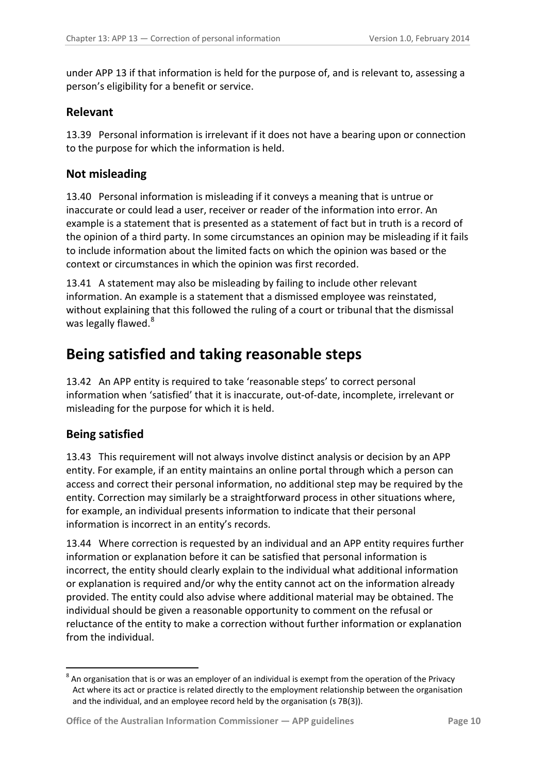under APP 13 if that information is held for the purpose of, and is relevant to, assessing a person's eligibility for a benefit or service.

### <span id="page-9-0"></span>**Relevant**

13.39 Personal information is irrelevant if it does not have a bearing upon or connection to the purpose for which the information is held.

#### <span id="page-9-1"></span>**Not misleading**

13.40 Personal information is misleading if it conveys a meaning that is untrue or inaccurate or could lead a user, receiver or reader of the information into error. An example is a statement that is presented as a statement of fact but in truth is a record of the opinion of a third party. In some circumstances an opinion may be misleading if it fails to include information about the limited facts on which the opinion was based or the context or circumstances in which the opinion was first recorded.

<span id="page-9-4"></span>13.41 A statement may also be misleading by failing to include other relevant information. An example is a statement that a dismissed employee was reinstated, without explaining that this followed the ruling of a court or tribunal that the dismissal was legally flawed.<sup>[8](#page-8-4)</sup>

# <span id="page-9-2"></span>**Being satisfied and taking reasonable steps**

13.42 An APP entity is required to take 'reasonable steps' to correct personal information when 'satisfied' that it is inaccurate, out-of-date, incomplete, irrelevant or misleading for the purpose for which it is held.

# <span id="page-9-3"></span>**Being satisfied**

<span id="page-9-6"></span><u>.</u>

<span id="page-9-5"></span>13.43 This requirement will not always involve distinct analysis or decision by an APP entity. For example, if an entity maintains an online portal through which a person can access and correct their personal information, no additional step may be required by the entity. Correction may similarly be a straightforward process in other situations where, for example, an individual presents information to indicate that their personal information is incorrect in an entity's records.

13.44 Where correction is requested by an individual and an APP entity requires further information or explanation before it can be satisfied that personal information is incorrect, the entity should clearly explain to the individual what additional information or explanation is required and/or why the entity cannot act on the information already provided. The entity could also advise where additional material may be obtained. The individual should be given a reasonable opportunity to comment on the refusal or reluctance of the entity to make a correction without further information or explanation from the individual.

 $8$  An organisation that is or was an employer of an individual is exempt from the operation of the Privacy Act where its act or practice is related directly to the employment relationship between the organisation and the individual, and an employee record held by the organisation (s 7B(3)).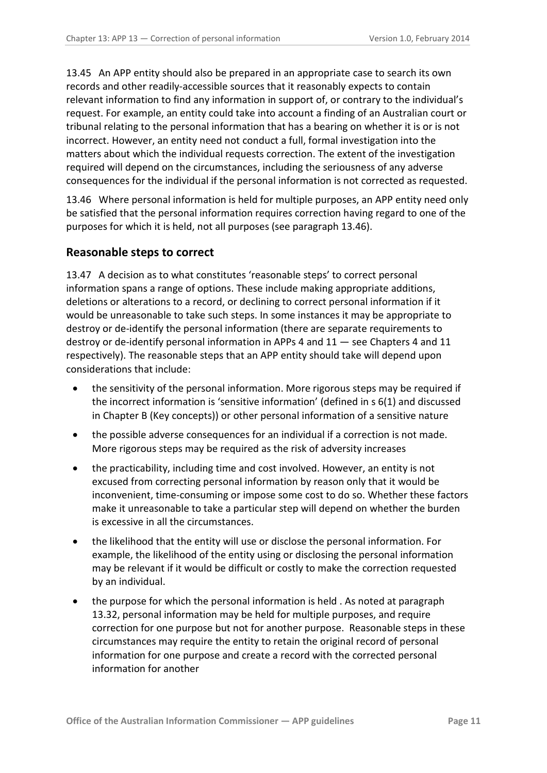13.45 An APP entity should also be prepared in an appropriate case to search its own records and other readily-accessible sources that it reasonably expects to contain relevant information to find any information in support of, or contrary to the individual's request. For example, an entity could take into account a finding of an Australian court or tribunal relating to the personal information that has a bearing on whether it is or is not incorrect. However, an entity need not conduct a full, formal investigation into the matters about which the individual requests correction. The extent of the investigation required will depend on the circumstances, including the seriousness of any adverse consequences for the individual if the personal information is not corrected as requested.

13.46 Where personal information is held for multiple purposes, an APP entity need only be satisfied that the personal information requires correction having regard to one of the purposes for which it is held, not all purposes (see paragraph [13.46\)](#page-10-1).

#### <span id="page-10-0"></span>**Reasonable steps to correct**

<span id="page-10-1"></span>13.47 A decision as to what constitutes 'reasonable steps' to correct personal information spans a range of options. These include making appropriate additions, deletions or alterations to a record, or declining to correct personal information if it would be unreasonable to take such steps. In some instances it may be appropriate to destroy or de-identify the personal information (there are separate requirements to destroy or de-identify personal information in APPs 4 and 11 — see Chapters 4 and 11 respectively). The reasonable steps that an APP entity should take will depend upon considerations that include:

- the sensitivity of the personal information. More rigorous steps may be required if the incorrect information is 'sensitive information' (defined in s 6(1) and discussed in Chapter B (Key concepts)) or other personal information of a sensitive nature
- the possible adverse consequences for an individual if a correction is not made. More rigorous steps may be required as the risk of adversity increases
- the practicability, including time and cost involved. However, an entity is not excused from correcting personal information by reason only that it would be inconvenient, time-consuming or impose some cost to do so. Whether these factors make it unreasonable to take a particular step will depend on whether the burden is excessive in all the circumstances.
- the likelihood that the entity will use or disclose the personal information. For example, the likelihood of the entity using or disclosing the personal information may be relevant if it would be difficult or costly to make the correction requested by an individual.
- the purpose for which the personal information is held . As noted at paragraph [13.32,](#page-7-6) personal information may be held for multiple purposes, and require correction for one purpose but not for another purpose. Reasonable steps in these circumstances may require the entity to retain the original record of personal information for one purpose and create a record with the corrected personal information for another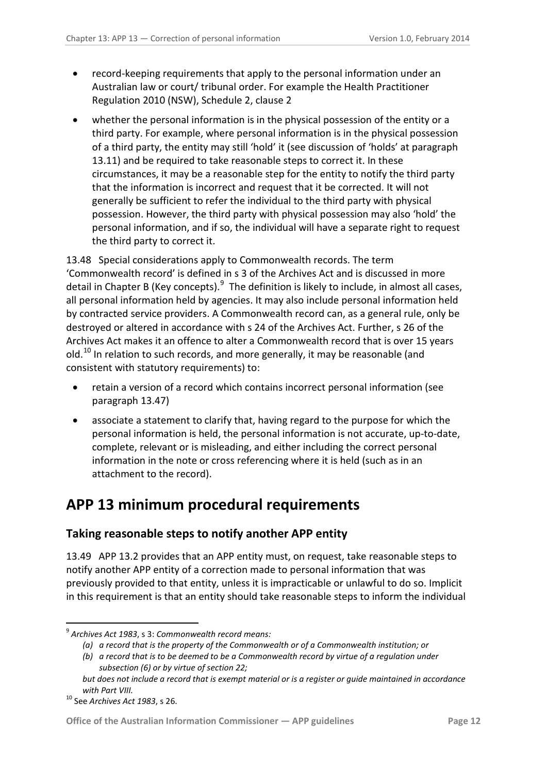- record-keeping requirements that apply to the personal information under an Australian law or court/ tribunal order. For example the Health Practitioner Regulation 2010 (NSW), Schedule 2, clause 2
- whether the personal information is in the physical possession of the entity or a third party. For example, where personal information is in the physical possession of a third party, the entity may still 'hold' it (see discussion of 'holds' at paragraph [13.11\)](#page-3-1) and be required to take reasonable steps to correct it. In these circumstances, it may be a reasonable step for the entity to notify the third party that the information is incorrect and request that it be corrected. It will not generally be sufficient to refer the individual to the third party with physical possession. However, the third party with physical possession may also 'hold' the personal information, and if so, the individual will have a separate right to request the third party to correct it.

<span id="page-11-2"></span>13.48 Special considerations apply to Commonwealth records. The term 'Commonwealth record' is defined in s 3 of the Archives Act and is discussed in more detail in Chapter B (Key concepts).<sup>[9](#page-9-6)</sup> The definition is likely to include, in almost all cases, all personal information held by agencies. It may also include personal information held by contracted service providers. A Commonwealth record can, as a general rule, only be destroyed or altered in accordance with s 24 of the Archives Act. Further, s 26 of the Archives Act makes it an offence to alter a Commonwealth record that is over 15 years old.<sup>[10](#page-11-4)</sup> In relation to such records, and more generally, it may be reasonable (and consistent with statutory requirements) to:

- retain a version of a record which contains incorrect personal information (see paragraph [13.47\)](#page-10-1)
- associate a statement to clarify that, having regard to the purpose for which the personal information is held, the personal information is not accurate, up-to-date, complete, relevant or is misleading, and either including the correct personal information in the note or cross referencing where it is held (such as in an attachment to the record).

# <span id="page-11-0"></span>**APP 13 minimum procedural requirements**

# <span id="page-11-1"></span>**Taking reasonable steps to notify another APP entity**

<span id="page-11-3"></span>13.49 APP 13.2 provides that an APP entity must, on request, take reasonable steps to notify another APP entity of a correction made to personal information that was previously provided to that entity, unless it is impracticable or unlawful to do so. Implicit in this requirement is that an entity should take reasonable steps to inform the individual

<sup>9</sup> *Archives Act 1983*, s 3: *Commonwealth record means:*

*<sup>(</sup>a) a record that is the property of the Commonwealth or of a Commonwealth institution; or*

*<sup>(</sup>b) a record that is to be deemed to be a Commonwealth record by virtue of a regulation under subsection (6) or by virtue of section 22;*

*but does not include a record that is exempt material or is a register or guide maintained in accordance with Part VIII.*

<span id="page-11-4"></span><sup>10</sup> See *Archives Act 1983*, s 26.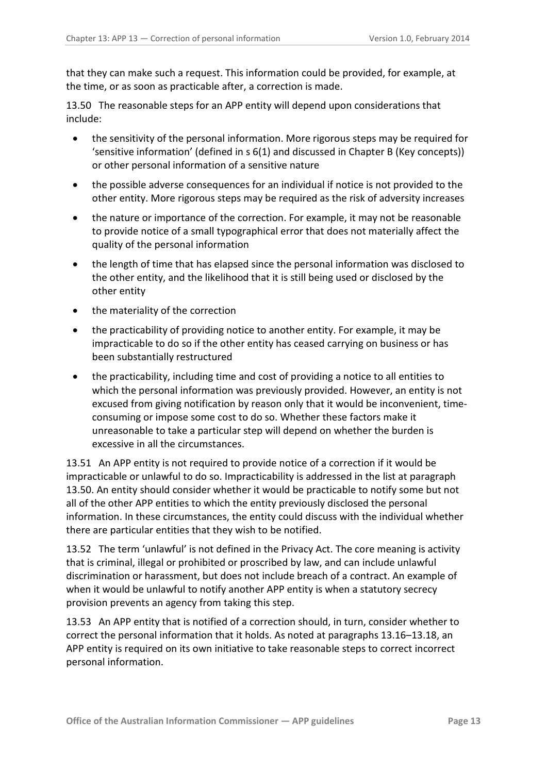that they can make such a request. This information could be provided, for example, at the time, or as soon as practicable after, a correction is made.

<span id="page-12-1"></span>13.50 The reasonable steps for an APP entity will depend upon considerations that include:

- the sensitivity of the personal information. More rigorous steps may be required for 'sensitive information' (defined in s 6(1) and discussed in Chapter B (Key concepts)) or other personal information of a sensitive nature
- the possible adverse consequences for an individual if notice is not provided to the other entity. More rigorous steps may be required as the risk of adversity increases
- the nature or importance of the correction. For example, it may not be reasonable to provide notice of a small typographical error that does not materially affect the quality of the personal information
- the length of time that has elapsed since the personal information was disclosed to the other entity, and the likelihood that it is still being used or disclosed by the other entity
- the materiality of the correction
- the practicability of providing notice to another entity. For example, it may be impracticable to do so if the other entity has ceased carrying on business or has been substantially restructured
- the practicability, including time and cost of providing a notice to all entities to which the personal information was previously provided. However, an entity is not excused from giving notification by reason only that it would be inconvenient, timeconsuming or impose some cost to do so. Whether these factors make it unreasonable to take a particular step will depend on whether the burden is excessive in all the circumstances.

13.51 An APP entity is not required to provide notice of a correction if it would be impracticable or unlawful to do so. Impracticability is addressed in the list at paragraph [13.50.](#page-12-1) An entity should consider whether it would be practicable to notify some but not all of the other APP entities to which the entity previously disclosed the personal information. In these circumstances, the entity could discuss with the individual whether there are particular entities that they wish to be notified.

13.52 The term 'unlawful' is not defined in the Privacy Act. The core meaning is activity that is criminal, illegal or prohibited or proscribed by law, and can include unlawful discrimination or harassment, but does not include breach of a contract. An example of when it would be unlawful to notify another APP entity is when a statutory secrecy provision prevents an agency from taking this step.

<span id="page-12-0"></span>13.53 An APP entity that is notified of a correction should, in turn, consider whether to correct the personal information that it holds. As noted at paragraph[s 13.16](#page-4-4)[–13.18,](#page-4-5) an APP entity is required on its own initiative to take reasonable steps to correct incorrect personal information.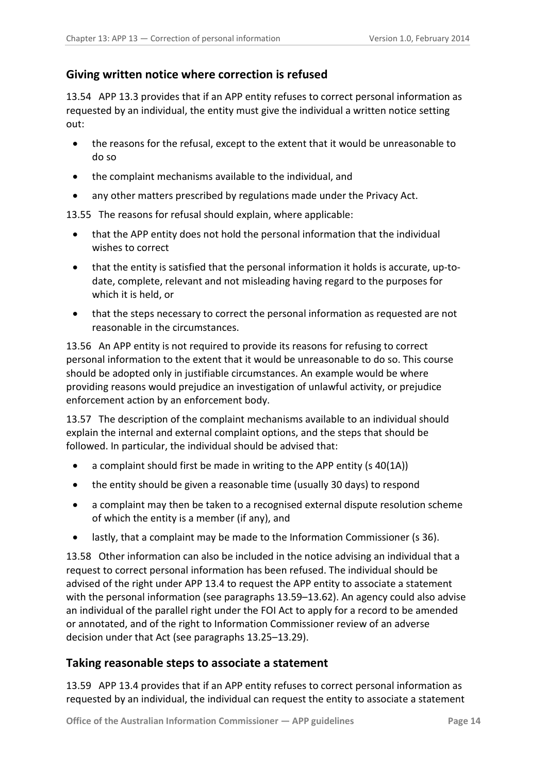# <span id="page-13-0"></span>**Giving written notice where correction is refused**

<span id="page-13-2"></span>13.54 APP 13.3 provides that if an APP entity refuses to correct personal information as requested by an individual, the entity must give the individual a written notice setting out:

- the reasons for the refusal, except to the extent that it would be unreasonable to do so
- the complaint mechanisms available to the individual, and
- any other matters prescribed by regulations made under the Privacy Act.

13.55 The reasons for refusal should explain, where applicable:

- that the APP entity does not hold the personal information that the individual wishes to correct
- that the entity is satisfied that the personal information it holds is accurate, up-todate, complete, relevant and not misleading having regard to the purposes for which it is held, or
- that the steps necessary to correct the personal information as requested are not reasonable in the circumstances.

13.56 An APP entity is not required to provide its reasons for refusing to correct personal information to the extent that it would be unreasonable to do so. This course should be adopted only in justifiable circumstances. An example would be where providing reasons would prejudice an investigation of unlawful activity, or prejudice enforcement action by an enforcement body.

13.57 The description of the complaint mechanisms available to an individual should explain the internal and external complaint options, and the steps that should be followed. In particular, the individual should be advised that:

- a complaint should first be made in writing to the APP entity (s 40(1A))
- the entity should be given a reasonable time (usually 30 days) to respond
- a complaint may then be taken to a recognised external dispute resolution scheme of which the entity is a member (if any), and
- lastly, that a complaint may be made to the Information Commissioner (s 36).

<span id="page-13-3"></span>13.58 Other information can also be included in the notice advising an individual that a request to correct personal information has been refused. The individual should be advised of the right under APP 13.4 to request the APP entity to associate a statement with the personal information (see paragraph[s 13.59](#page-13-4)[–13.62\)](#page-14-3). An agency could also advise an individual of the parallel right under the FOI Act to apply for a record to be amended or annotated, and of the right to Information Commissioner review of an adverse decision under that Act (see paragraphs [13.25](#page-5-1)[–13.29\)](#page-7-1).

# <span id="page-13-1"></span>**Taking reasonable steps to associate a statement**

<span id="page-13-4"></span>13.59 APP 13.4 provides that if an APP entity refuses to correct personal information as requested by an individual, the individual can request the entity to associate a statement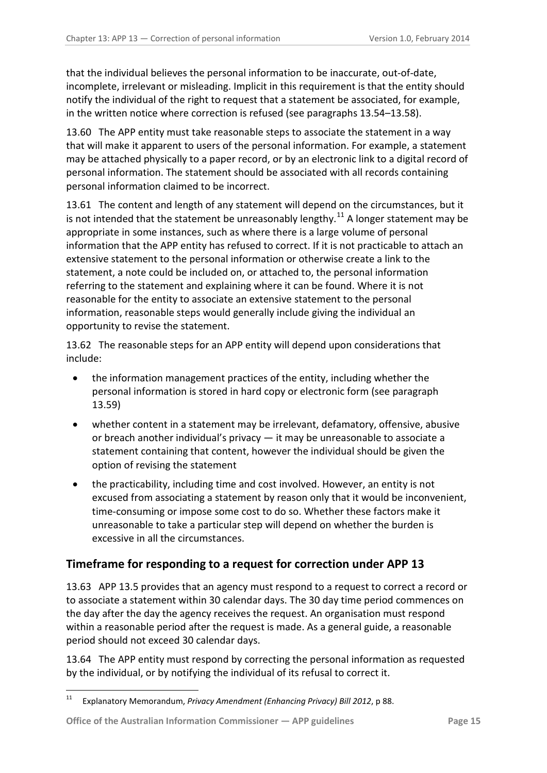that the individual believes the personal information to be inaccurate, out-of-date, incomplete, irrelevant or misleading. Implicit in this requirement is that the entity should notify the individual of the right to request that a statement be associated, for example, in the written notice where correction is refused (see paragraph[s 13.54](#page-13-2)[–13.58\)](#page-13-3).

13.60 The APP entity must take reasonable steps to associate the statement in a way that will make it apparent to users of the personal information. For example, a statement may be attached physically to a paper record, or by an electronic link to a digital record of personal information. The statement should be associated with all records containing personal information claimed to be incorrect.

13.61 The content and length of any statement will depend on the circumstances, but it is not intended that the statement be unreasonably lengthy.<sup>11</sup> A longer statement may be appropriate in some instances, such as where there is a large volume of personal information that the APP entity has refused to correct. If it is not practicable to attach an extensive statement to the personal information or otherwise create a link to the statement, a note could be included on, or attached to, the personal information referring to the statement and explaining where it can be found. Where it is not reasonable for the entity to associate an extensive statement to the personal information, reasonable steps would generally include giving the individual an opportunity to revise the statement.

<span id="page-14-3"></span>13.62 The reasonable steps for an APP entity will depend upon considerations that include:

- the information management practices of the entity, including whether the personal information is stored in hard copy or electronic form (see paragraph [13.59\)](#page-13-4)
- whether content in a statement may be irrelevant, defamatory, offensive, abusive or breach another individual's privacy — it may be unreasonable to associate a statement containing that content, however the individual should be given the option of revising the statement
- the practicability, including time and cost involved. However, an entity is not excused from associating a statement by reason only that it would be inconvenient, time-consuming or impose some cost to do so. Whether these factors make it unreasonable to take a particular step will depend on whether the burden is excessive in all the circumstances.

# <span id="page-14-0"></span>**Timeframe for responding to a request for correction under APP 13**

<span id="page-14-1"></span>13.63 APP 13.5 provides that an agency must respond to a request to correct a record or to associate a statement within 30 calendar days. The 30 day time period commences on the day after the day the agency receives the request. An organisation must respond within a reasonable period after the request is made. As a general guide, a reasonable period should not exceed 30 calendar days.

<span id="page-14-2"></span>13.64 The APP entity must respond by correcting the personal information as requested by the individual, or by notifying the individual of its refusal to correct it.

<sup>11</sup> Explanatory Memorandum, *Privacy Amendment (Enhancing Privacy) Bill 2012*, p 88.